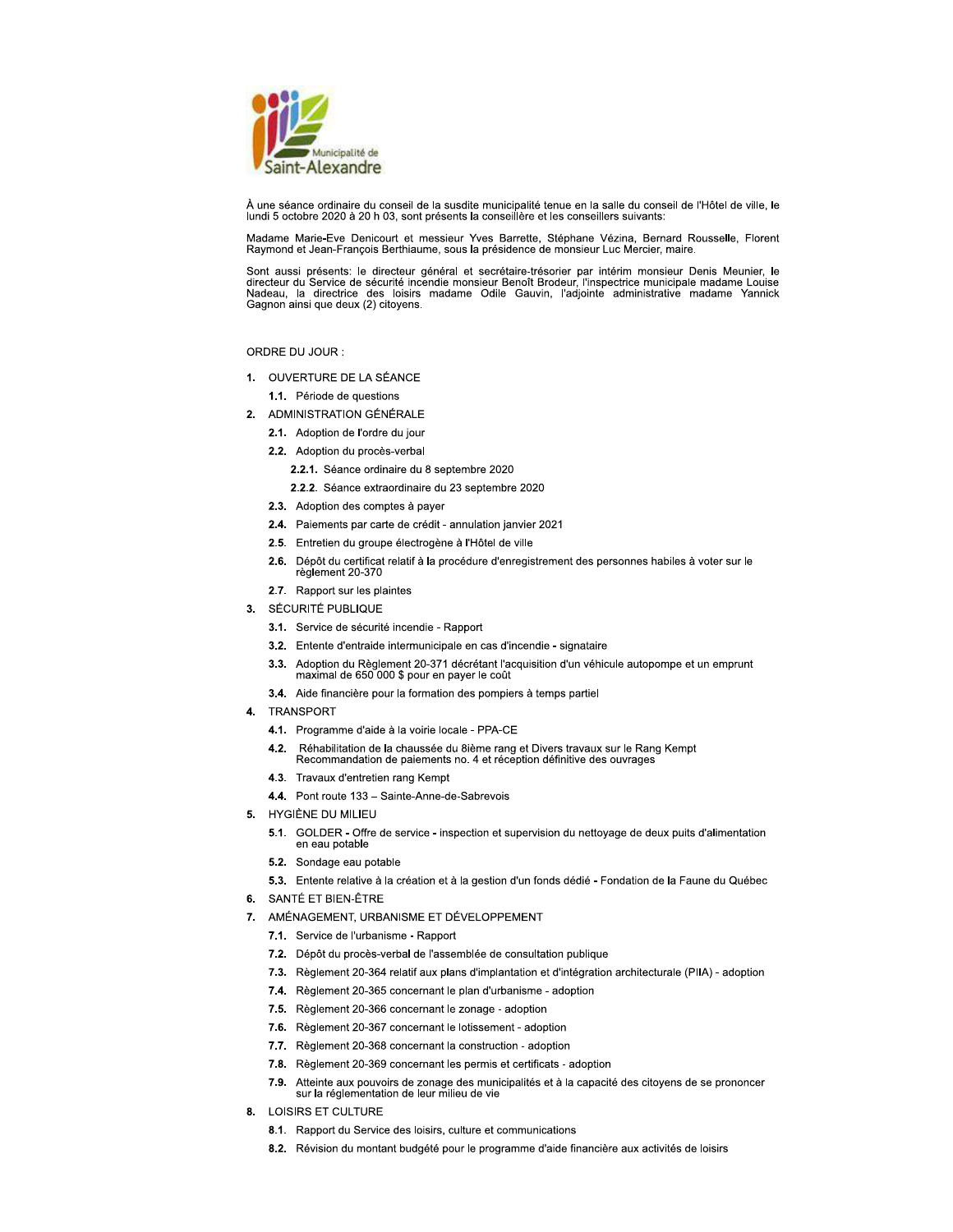

À une séance ordinaire du conseil de la susdite municipalité tenue en la salle du conseil de l'Hôtel de ville, le lundi 5 octobre 2020 à 20 h 03, sont présents la conseillère et les conseillers suivants:

Madame Marie-Eve Denicourt et messieur Yves Barrette, Stéphane Vézina, Bernard Rousselle, Florent Raymond et Jean-François Berthiaume, sous la présidence de monsieur Luc Mercier, maire.

Sont aussi présents: le directeur général et secrétaire-trésorier par intérim monsieur Denis Meunier, le directeur du Service de sécurité incendie monsieur Benoît Brodeur, l'inspectrice municipale madame Louise<br>Nadeau, la Gagnon ainsi que deux (2) citoyens.

### ORDRE DU JOUR :

- 1. OUVERTURE DE LA SÉANCE
	- 1.1. Période de questions
- 2. ADMINISTRATION GÉNÉRALE
	- 2.1. Adoption de l'ordre du jour
	- 2.2. Adoption du procès-verbal
		- 2.2.1. Séance ordinaire du 8 septembre 2020
		- 2.2.2. Séance extraordinaire du 23 septembre 2020
	- 2.3. Adoption des comptes à payer
	- 2.4. Paiements par carte de crédit annulation janvier 2021
	- 2.5. Entretien du groupe électrogène à l'Hôtel de ville
	- 2.6. Dépôt du certificat relatif à la procédure d'enregistrement des personnes habiles à voter sur le règlement 20-370
	- 2.7. Rapport sur les plaintes
- 3. SÉCURITÉ PUBLIQUE
	- 3.1. Service de sécurité incendie Rapport
	- 3.2. Entente d'entraide intermunicipale en cas d'incendie signataire
	- 3.3. Adoption du Règlement 20-371 décrétant l'acquisition d'un véhicule autopompe et un emprunt maximal de 650 000 \$ pour en payer le coût
	- 3.4. Aide financière pour la formation des pompiers à temps partiel
- TRANSPORT  $\mathbf{4}$ 
	- 4.1. Programme d'aide à la voirie locale PPA-CE
	- Réhabilitation de la chaussée du 8ième rang et Divers travaux sur le Rang Kempt  $4.2.$ Recommandation de paiements no. 4 et réception définitive des ouvrages
	- 4.3. Travaux d'entretien rang Kempt
	- 4.4. Pont route 133 Sainte-Anne-de-Sabrevois
- 5. HYGIÈNE DU MILIEU
	- 5.1. GOLDER Offre de service inspection et supervision du nettoyage de deux puits d'alimentation en eau potable
	- 5.2. Sondage eau potable
	- 5.3. Entente relative à la création et à la gestion d'un fonds dédié Fondation de la Faune du Québec
- 6. SANTÉ ET BIEN-ÊTRE
- 7. AMÉNAGEMENT, URBANISME ET DÉVELOPPEMENT
	- 7.1. Service de l'urbanisme Rapport
	- 7.2. Dépôt du procès-verbal de l'assemblée de consultation publique
	- 7.3. Règlement 20-364 relatif aux plans d'implantation et d'intégration architecturale (PIIA) adoption
	- 7.4. Règlement 20-365 concernant le plan d'urbanisme adoption
	- 7.5. Règlement 20-366 concernant le zonage adoption
	- 7.6. Règlement 20-367 concernant le lotissement adoption
	- 7.7. Règlement 20-368 concernant la construction adoption
	- 7.8. Règlement 20-369 concernant les permis et certificats adoption
	- 7.9. Atteinte aux pouvoirs de zonage des municipalités et à la capacité des citoyens de se prononcer<br>sur la réglementation de leur milieu de vie
- 8. LOISIRS ET CULTURE
	- 8.1. Rapport du Service des loisirs, culture et communications
	- 8.2. Révision du montant budgété pour le programme d'aide financière aux activités de loisirs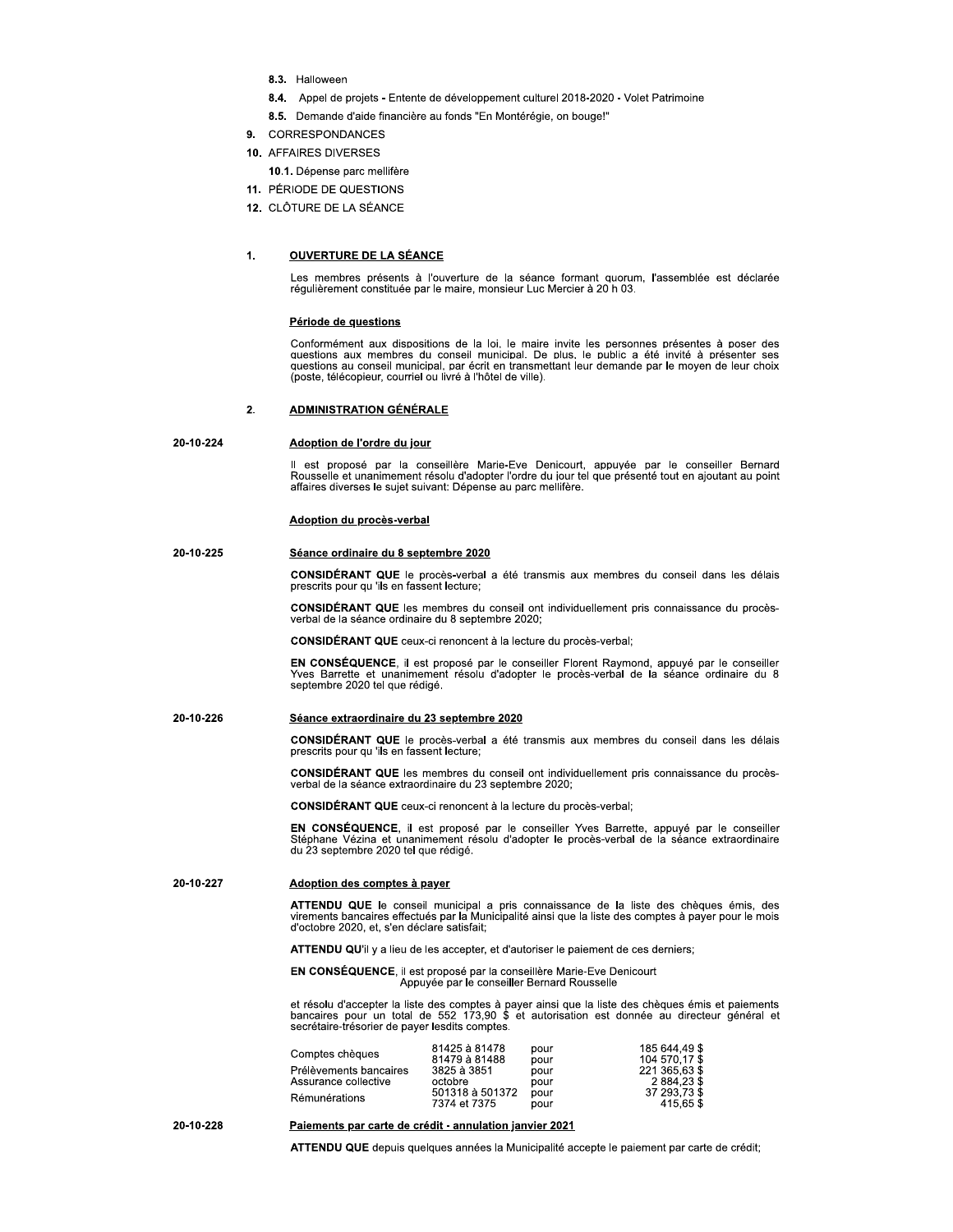- 8.3. Halloween
- 8.4. Appel de projets Entente de développement culturel 2018-2020 Volet Patrimoine
- 8.5. Demande d'aide financière au fonds "En Montérégie, on bouge!"
- 9. CORRESPONDANCES
- 10. AFFAIRES DIVERSES
	- 10.1. Dépense parc mellifère
- 11. PÉRIODE DE QUESTIONS
- 12. CLÔTURE DE LA SÉANCE

#### $\mathbf{1}$ . **OUVERTURE DE LA SÉANCE**

Les membres présents à l'ouverture de la séance formant quorum, l'assemblée est déclarée régulièrement constituée par le maire, monsieur Luc Mercier à 20 h 03.

### Période de questions

Conformément aux dispositions de la loi, le maire invite les personnes présentes à poser des questions aux membres du conseil municipal. De plus, le public a été invité à présenter ses questions au conseil municipal, par é (poste, télécopieur, courriel ou livré à l'hôtel de ville).

#### **ADMINISTRATION GÉNÉRALE**  $2.$

#### 20-10-224 Adoption de l'ordre du jour

Il est proposé par la conseillère Marie-Eve Denicourt, appuvée par le conseiller Bernard Rousselle et unanimement résolu d'adopter l'ordre du jour tel que présenté tout en ajoutant au point affaires diverses le sujet suivant: Dépense au parc mellifère.

### Adoption du procès-verbal

#### 20-10-225 Séance ordinaire du 8 septembre 2020

CONSIDÉRANT QUE le procès-verbal a été transmis aux membres du conseil dans les délais prescrits pour qu 'ils en fassent lecture;

CONSIDÉRANT QUE les membres du conseil ont individuellement pris connaissance du procèsverbal de la séance ordinaire du 8 septembre 2020;

CONSIDÉRANT QUE ceux-ci renoncent à la lecture du procès-verbal;

EN CONSÉQUENCE, il est proposé par le conseiller Florent Raymond, appuyé par le conseiller Yves Barrette et unanimement résolu d'adopter le procès-verbal de la séance ordinaire du 8 septembre 2020 tel que rédigé.

#### 20-10-226 Séance extraordinaire du 23 septembre 2020

CONSIDÉRANT QUE le procès-verbal a été transmis aux membres du conseil dans les délais prescrits pour qu'ils en fassent lecture;

CONSIDÉRANT QUE les membres du conseil ont individuellement pris connaissance du procèsverbal de la séance extraordinaire du 23 septembre 2020;

**CONSIDÉRANT QUE** ceux-ci renoncent à la lecture du procès-verbal:

EN CONSÉQUENCE, il est proposé par le conseiller Yves Barrette, appuyé par le conseiller Stéphane Vézina et unanimement résolu d'adopter le procès-verbal de la séance extraordinaire du 23 septembre 2020 tel que rédigé.

#### 20-10-227 Adoption des comptes à payer

ATTENDU QUE le conseil municipal a pris connaissance de la liste des chèques émis, des<br>virements bancaires effectués par la Municipalité ainsi que la liste des comptes à payer pour le mois d'octobre 2020, et, s'en déclare satisfait;

ATTENDU QU'il y a lieu de les accepter, et d'autoriser le paiement de ces derniers;

# EN CONSÉQUENCE, il est proposé par la conseillère Marie-Eve Denicourt<br>Appuyée par le conseiller Bernard Rousselle

et résolu d'accepter la liste des comptes à payer ainsi que la liste des chèques émis et paiements<br>bancaires pour un total de 552 173,90 \$ et autorisation est donnée au directeur général et secrétaire-trésorier de payer lesdits comptes.

|                        | 81425 à 81478   | pour | 185 644.49 \$ |
|------------------------|-----------------|------|---------------|
| Comptes chèques        | 81479 à 81488   | pour | 104 570.17 \$ |
| Prélèvements bancaires | 3825 à 3851     | pour | 221 365.63 \$ |
| Assurance collective   | octobre         | pour | 2884.23\$     |
| Rémunérations          | 501318 à 501372 | pour | 37 293.73 \$  |
|                        | 7374 et 7375    | pour | 415.65 \$     |

20-10-228

### Paiements par carte de crédit - annulation janvier 2021

ATTENDU QUE depuis quelques années la Municipalité accepte le paiement par carte de crédit;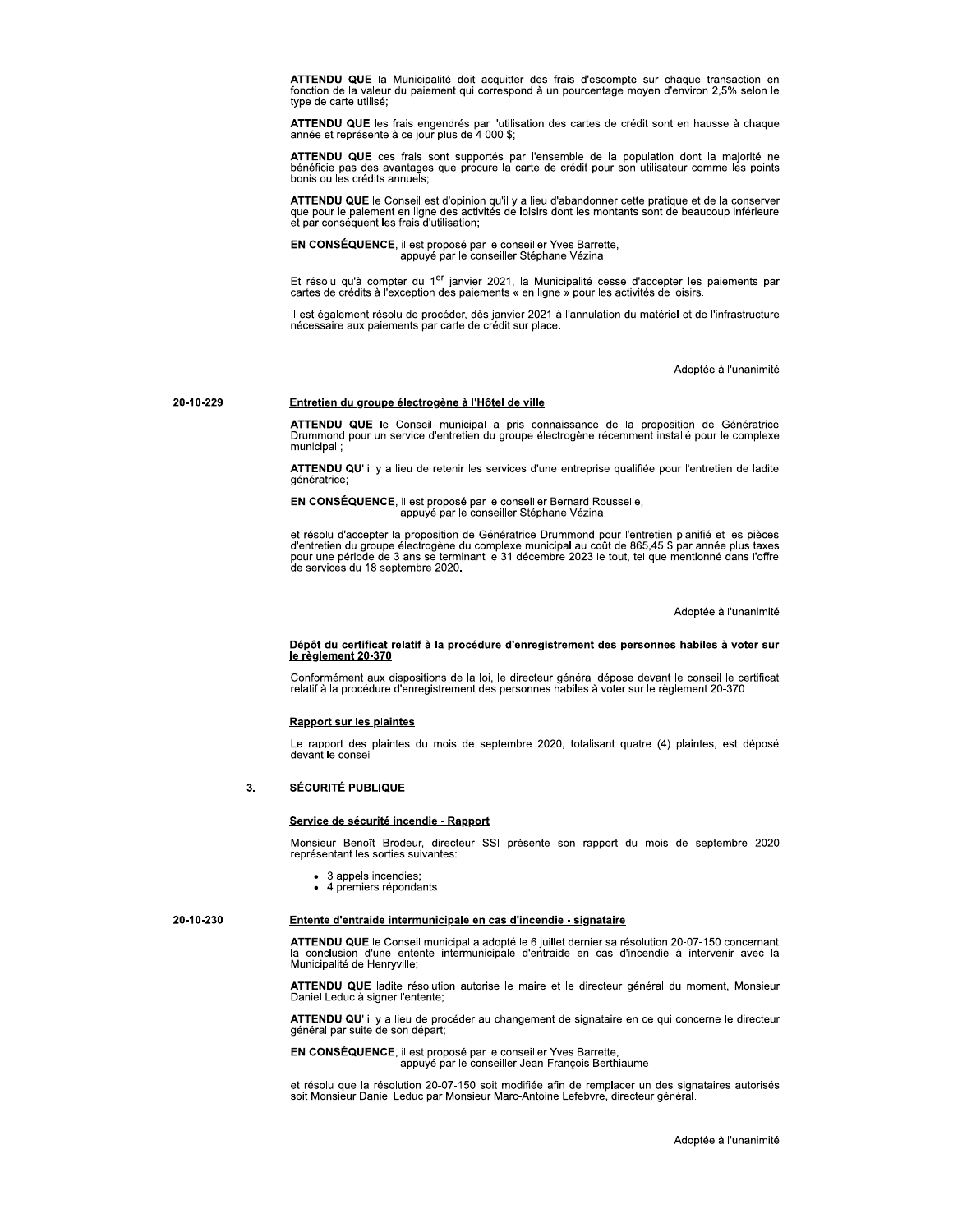ATTENDU QUE la Municipalité doit acquitter des frais d'escompte sur chaque transaction en fonction de la valeur du paiement qui correspond à un pourcentage moyen d'environ 2,5% selon le type de carte utilisé:

ATTENDU QUE les frais engendrés par l'utilisation des cartes de crédit sont en hausse à chaque année et représente à ce jour plus de 4 000 \$;

ATTENDU QUE ces frais sont supportés par l'ensemble de la population dont la majorité ne bénéficie pas des avantages que procure la carte de crédit pour son utilisateur comme les points bonis ou les crédits annuels:

ATTENDU QUE le Conseil est d'opinion qu'il y a lieu d'abandonner cette pratique et de la conserver que pour le paiement en ligne des activités de loisirs dont les montants sont de beaucoup inférieure<br>et par conséquent les frais d'utilisation;

EN CONSÉQUENCE, il est proposé par le conseiller Yves Barrette,<br>appuyé par le conseiller Stéphane Vézina

Et résolu qu'à compter du 1<sup>er</sup> janvier 2021, la Municipalité cesse d'accepter les paiements par<br>cartes de crédits à l'exception des paiements « en ligne » pour les activités de loisirs.

Il est également résolu de procéder, dès janvier 2021 à l'annulation du matériel et de l'infrastructure nécessaire aux paiements par carte de crédit sur place.

Adoptée à l'unanimité

### Entretien du groupe électrogène à l'Hôtel de ville

20-10-229

20-10-230

ATTENDU QUE le Conseil municipal a pris connaissance de la proposition de Génératrice<br>Drummond pour un service d'entretien du groupe électrogène récemment installé pour le complexe municipal:

ATTENDU QU' il y a lieu de retenir les services d'une entreprise qualifiée pour l'entretien de ladite génératrice;

EN CONSÉQUENCE, il est proposé par le conseiller Bernard Rousselle, appuyé par le conseiller Stéphane Vézina

et résolu d'accepter la proposition de Génératrice Drummond pour l'entretien planifié et les pièces d'entretien du groupe électrogène du complexe municipal au coût de 865,45 \$ par année plus taxes<br>pour une période de 3 ans se terminant le 31 décembre 2023 le tout, tel que mentionné dans l'offre de services du 18 septembre 2020.

Adoptée à l'unanimité

### Dépôt du certificat relatif à la procédure d'enregistrement des personnes habiles à voter sur le règlement 20-370

Conformément aux dispositions de la loi, le directeur général dépose devant le conseil le certificat relatif à la procédure d'enregistrement des personnes habiles à voter sur le règlement 20-370.

### **Rapport sur les plaintes**

Le rapport des plaintes du mois de septembre 2020, totalisant quatre (4) plaintes, est déposé devant le conseil

#### $3.$ **SÉCURITÉ PUBLIQUE**

### Service de sécurité incendie - Rapport

Monsieur Benoît Brodeur, directeur SSI présente son rapport du mois de septembre 2020 représentant les sorties suivantes:

- 3 appels incendies:
- · 4 premiers répondants.

### Entente d'entraide intermunicipale en cas d'incendie - signataire

ATTENDU QUE le Conseil municipal a adopté le 6 juillet dernier sa résolution 20-07-150 concernant conclusion d'une entente intermunicipale d'entraide en cas d'incendie à intervenir avec la Municipalité de Henryville;

ATTENDU QUE ladite résolution autorise le maire et le directeur général du moment, Monsieur Daniel Leduc à signer l'entente;

ATTENDU QU' il y a lieu de procéder au changement de signataire en ce qui concerne le directeur général par suite de son départ;

EN CONSÉQUENCE, il est proposé par le conseiller Yves Barrette, appuyé par le conseiller Jean-François Berthiaume

et résolu que la résolution 20-07-150 soit modifiée afin de remplacer un des signataires autorisés soit Monsieur Daniel Leduc par Monsieur Marc-Antoine Lefebvre, directeur général.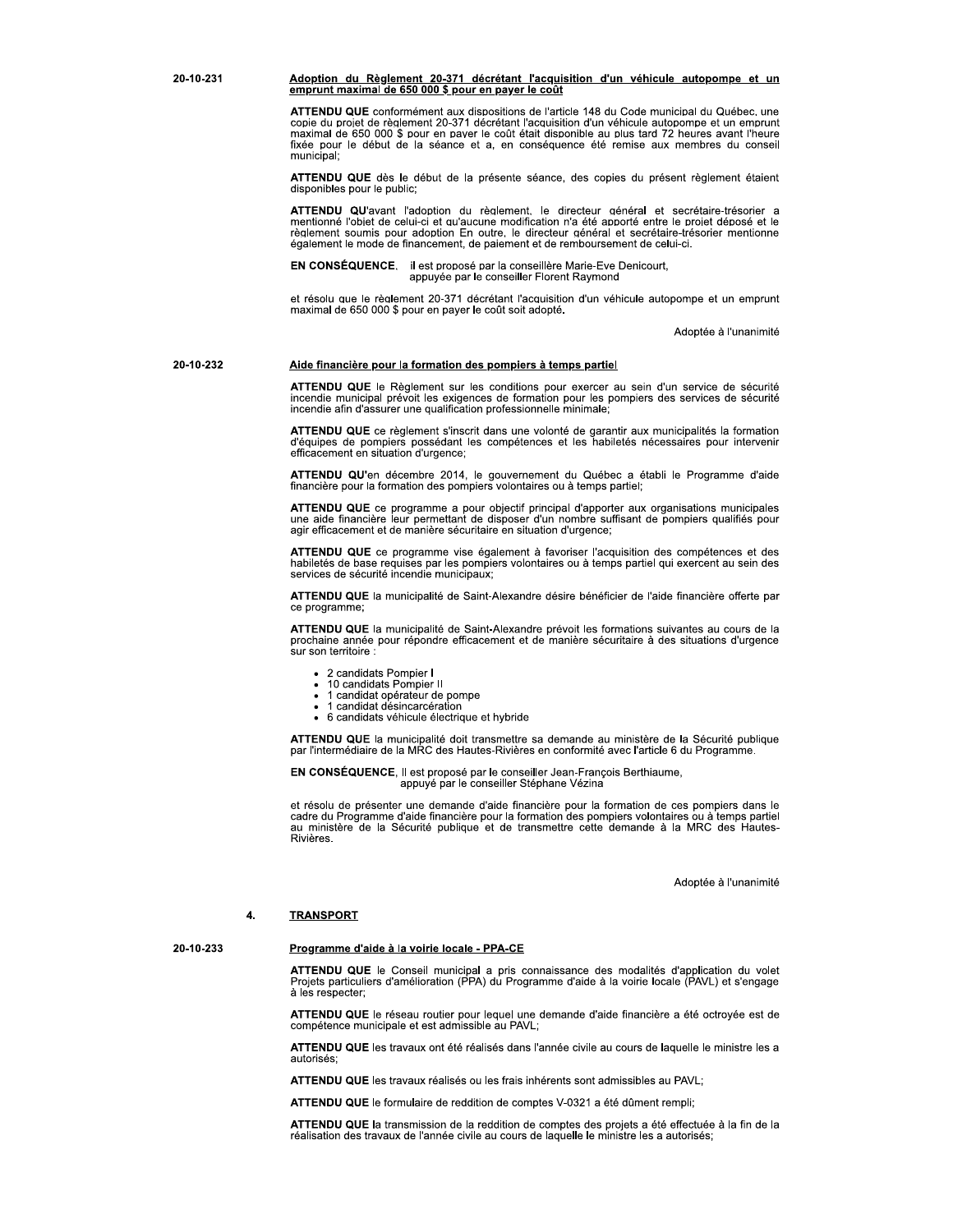### Adoption du Règlement 20-371 décrétant l'acquisition d'un véhicule autopompe et un emprunt maximal de 650 000 \$ pour en payer le coût

ATTENDU QUE conformément aux dispositions de l'article 148 du Code municipal du Québec, une copie du projet de règlement 20-371 décrétant l'acquisition d'un véhicule autopompe et un emprunt maximal de 650 000 \$ pour en payer le coût était disponible au plus tard 72 heures avant l'heure<br>fixée pour le début de la séance et a, en conséquence été remise aux membres du conseil municipal;

ATTENDU QUE dès le début de la présente séance, des copies du présent règlement étaient disponibles pour le public;

ATTENDU QU'avant l'adoption du règlement, le directeur général et secrétaire-trésorier a mentionné l'objet de celui-ci et au aucune modification n'a été apporté entre le projet déposé et le règlement soumis pour adoption En outre, le directeur général et secrétaire-trésorier mentionne également le mode de financement, de paiement et de remboursement de celui-ci.

EN CONSÉQUENCE. il est proposé par la conseillère Marie-Eve Denicourt, appuyée par le conseiller Florent Ravmond

et résolu que le règlement 20-371 décrétant l'acquisition d'un véhicule autopompe et un emprunt maximal de 650 000 \$ pour en payer le coût soit adopté.

Adoptée à l'unanimité

20-10-232

20-10-231

### Aide financière pour la formation des pompiers à temps partiel

ATTENDU QUE le Règlement sur les conditions pour exercer au sein d'un service de sécurité incendie municipal prévoit les exigences de formation pour les pompiers des services de sécurité incendie afin d'assurer une qualification professionnelle minimale;

ATTENDU QUE ce règlement s'inscrit dans une volonté de garantir aux municipalités la formation<br>d'équipes de pompiers possédant les compétences et les habiletés nécessaires pour intervenir efficacement en situation d'urgence;

ATTENDU QU'en décembre 2014, le gouvernement du Québec a établi le Programme d'aide financière pour la formation des pompiers volontaires ou à temps partiel;

ATTENDU QUE ce programme a pour objectif principal d'apporter aux organisations municipales une aide financière leur permettant de disposer d'un nombre suffisant de pompiers qualifiés pour agir efficacement et de manière sécuritaire en situation d'urgence;

ATTENDU QUE ce programme vise également à favoriser l'acquisition des compétences et des habiletés de base requises par les pompiers volontaires ou à temps partiel qui exercent au sein des services de sécurité incendie municipaux;

ATTENDU QUE la municipalité de Saint-Alexandre désire bénéficier de l'aide financière offerte par ce programme

ATTENDU QUE la municipalité de Saint-Alexandre prévoit les formations suivantes au cours de la prochaine année pour répondre efficacement et de manière sécuritaire à des situations d'urgence sur son territoire :

- 2 candidats Pompier I
- $\bullet$
- 10 candidats Pompier II<br>1 candidat opérateur de pompe
- 1 candidat désincarcération
- · 6 candidats véhicule électrique et hybride

ATTENDU QUE la municipalité doit transmettre sa demande au ministère de la Sécurité publique par l'intermédiaire de la MRC des Hautes-Rivières en conformité avec l'article 6 du Programme.

EN CONSÉQUENCE, Il est proposé par le conseiller Jean-François Berthiaume, appuyé par le conseiller Stéphane Vézina

et résolu de présenter une demande d'aide financière pour la formation de ces pompiers dans le cadre du Programme d'aide financière pour la formation des pompiers volontaires ou à temps partiel au ministère de la Sécurité publique et de transmettre cette demande à la MRC des Hautes-Rivières.

Adoptée à l'unanimité

#### **TRANSPORT** 4.

20-10-233

### Programme d'aide à la voirie locale - PPA-CE

ATTENDU QUE le Conseil municipal a pris connaissance des modalités d'application du volet Projets particuliers d'amélioration (PPA) du Programme d'aide à la voirie locale (PAVL) et s'engage à les respecter;

ATTENDU QUE le réseau routier pour lequel une demande d'aide financière a été octroyée est de compétence municipale et est admissible au PAVL;

ATTENDU QUE les travaux ont été réalisés dans l'année civile au cours de laquelle le ministre les a autorisés:

ATTENDU QUE les travaux réalisés ou les frais inhérents sont admissibles au PAVL;

ATTENDU QUE le formulaire de reddition de comptes V-0321 a été dûment rempli:

ATTENDU QUE la transmission de la reddition de comptes des projets a été effectuée à la fin de la réalisation des travaux de l'année civile au cours de laquelle le ministre les a autorisés;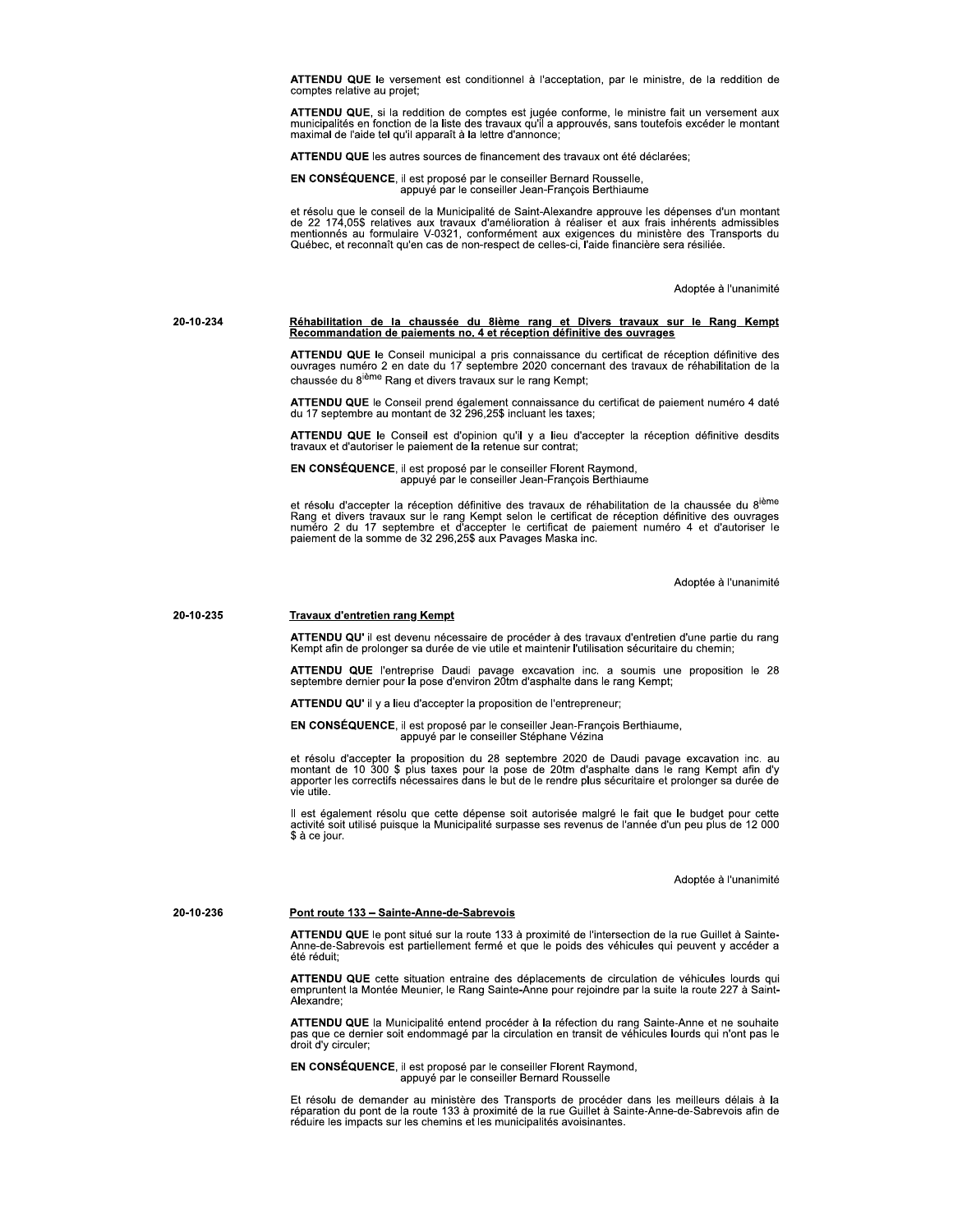ATTENDU QUE le versement est conditionnel à l'acceptation, par le ministre, de la reddition de comptes relative au projet;

ATTENDU QUE, si la reddition de comptes est jugée conforme, le ministre fait un versement aux municipalités en fonction de la liste des travaux qu'il a approuvés, sans toutefois excéder le montant maximal de l'aide tel qu'il apparaît à la lettre d'annonce;

ATTENDU QUE les autres sources de financement des travaux ont été déclarées;

EN CONSÉQUENCE, il est proposé par le conseiller Bernard Rousselle,<br>appuyé par le conseiller Jean-François Berthiaume

et résolu que le conseil de la Municipalité de Saint-Alexandre approuve les dépenses d'un montant de 22 174,05\$ relatives aux travaux d'amélioration à réaliser et aux frais inhérents admissibles mentionnés au formulaire V-Québec, et reconnaît qu'en cas de non-respect de celles-ci, l'aide financière sera résiliée.

Adoptée à l'unanimité

### Réhabilitation de la chaussée du 8ième rang et Divers travaux sur le Rang Kempt<br>Recommandation de paiements no. 4 et réception définitive des ouvrages 20-10-234

ATTENDU QUE le Conseil municipal a pris connaissance du certificat de réception définitive des ouvrages numéro 2 en date du 17 septembre 2020 concernant des travaux de réhabilitation de la chaussée du 8<sup>ième</sup> Rang et divers travaux sur le rang Kempt;

ATTENDU QUE le Conseil prend également connaissance du certificat de paiement numéro 4 daté du 17 septembre au montant de 32 296,25\$ incluant les taxes;

ATTENDU QUE le Conseil est d'opinion qu'il y a lieu d'accepter la réception définitive desdits travaux et d'autoriser le paiement de la retenue sur contrat;

EN CONSÉQUENCE, il est proposé par le conseiller Florent Raymond, appuyé par le conseiller Jean-François Berthiaume

et résolu d'accepter la réception définitive des travaux de réhabilitation de la chaussée du 8<sup>ième</sup> Rang et divers travaux sur le rang Kempt selon le certificat de réception définitive des ouvrages<br>numéro 2 du 17 septembre et d'accepter le certificat de paiement numéro 4 et d'autoriser le<br>paiement de la somme de 32 296,2

Adoptée à l'unanimité

#### 20-10-235 **Travaux d'entretien rang Kempt**

ATTENDU QU' il est devenu nécessaire de procéder à des travaux d'entretien d'une partie du rang Kempt afin de prolonger sa durée de vie utile et maintenir l'utilisation sécuritaire du chemin;

ATTENDU QUE l'entreprise Daudi pavage excavation inc. a soumis une proposition le 28 septembre dernier pour la pose d'environ 20tm d'asphalte dans le rang Kempt;

**ATTENDU QU'** il y a lieu d'accepter la proposition de l'entrepreneur:

EN CONSÉQUENCE, il est proposé par le conseiller Jean-François Berthiaume,<br>appuyé par le conseiller Stéphane Vézina

et résolu d'accepter la proposition du 28 septembre 2020 de Daudi pavage excavation inc. au montant de 10 300 \$ plus taxes pour la pose de 20tm d'asphalte dans le rang Kempt afin d'y apporter les correctifs nécessaires dan vie utile.

Il est également résolu que cette dépense soit autorisée malgré le fait que le budget pour cette activité soit utilisé puisque la Municipalité surpasse ses revenus de l'année d'un peu plus de 12 000 \$ à ce jour.

Adoptée à l'unanimité

20-10-236

### Pont route 133 - Sainte-Anne-de-Sabrevois

ATTENDU QUE le pont situé sur la route 133 à proximité de l'intersection de la rue Guillet à Sainte-<br>Anne-de-Sabrevois est partiellement fermé et que le poids des véhicules qui peuvent y accéder a été réduit;

ATTENDU QUE cette situation entraine des déplacements de circulation de véhicules lourds qui empruntent la Montée Meunier, le Rang Sainte-Anne pour rejoindre par la suite la route 227 à Saint-Alexandre;

ATTENDU QUE la Municipalité entend procéder à la réfection du rang Sainte-Anne et ne souhaite pas que ce dernier soit endommagé par la circulation en transit de véhicules lourds qui n'ont pas le droit d'y circuler:

EN CONSÉQUENCE, il est proposé par le conseiller Florent Raymond, appuyé par le conseiller Bernard Rousselle

Et résolu de demander au ministère des Transports de procéder dans les meilleurs délais à la réparation du pont de la route 133 à proximité de la rue Guillet à Sainte-Anne-de-Sabrevois afin de<br>réduire les impacts sur les chemins et les municipalités avoisinantes.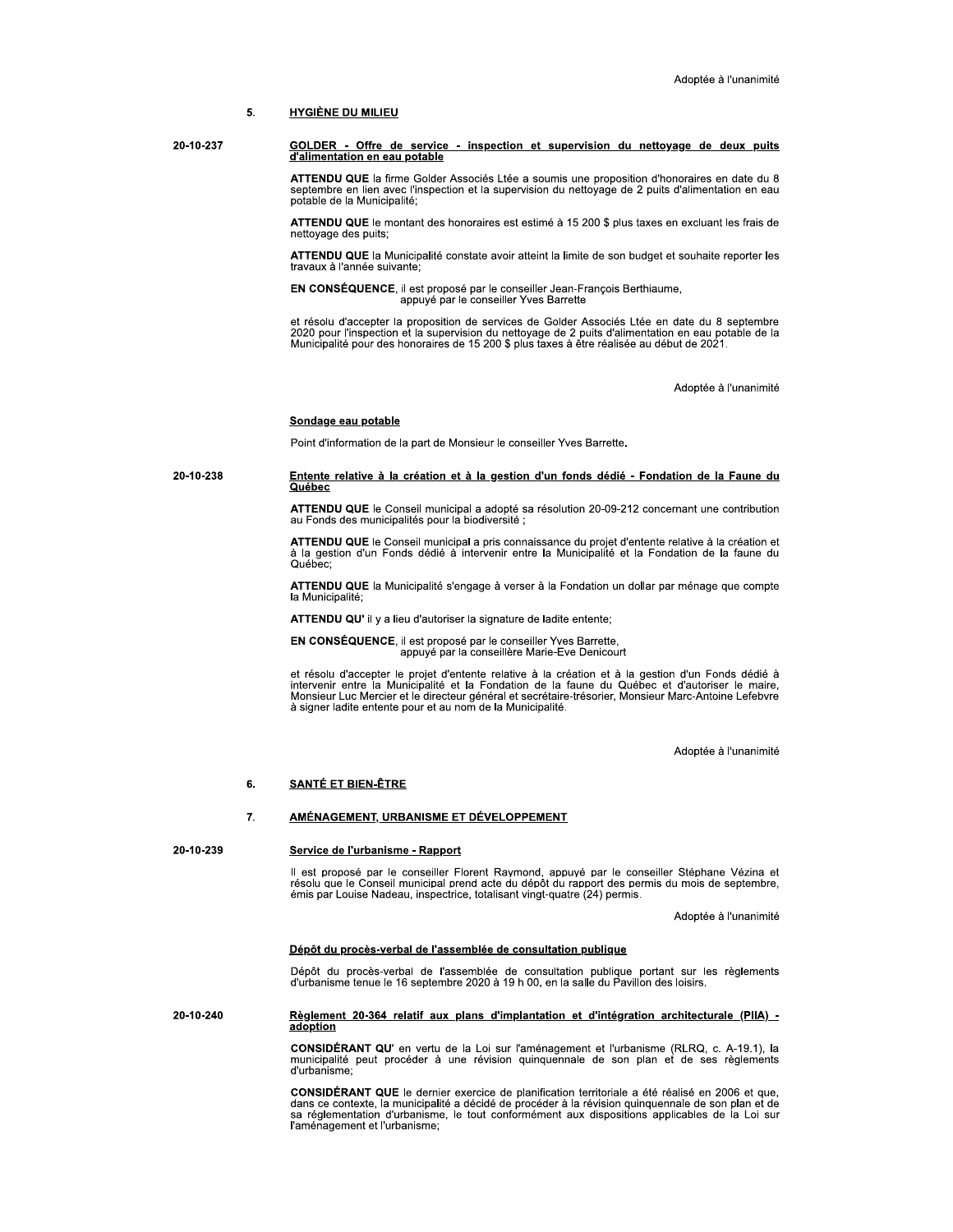#### 5. **HYGIÈNE DU MILIEU**

20-10-237 GOLDER - Offre de service - inspection et supervision du nettoyage de deux puits d'alimentation en eau potable

> ATTENDU QUE la firme Golder Associés Ltée a soumis une proposition d'honoraires en date du 8 septembre en lien avec l'inspection et la supervision du nettoyage de 2 puits d'alimentation en eau potable de la Municipalité;

> ATTENDU QUE le montant des honoraires est estimé à 15 200 \$ plus taxes en excluant les frais de nettoyage des puits;

> ATTENDU QUE la Municipalité constate avoir atteint la limite de son budget et souhaite reporter les travaux à l'année suivante;

EN CONSÉQUENCE, il est proposé par le conseiller Jean-François Berthiaume,<br>appuyé par le conseiller Yves Barrette

et résolu d'accepter la proposition de services de Golder Associés Ltée en date du 8 septembre<br>2020 pour l'inspection et la supervision du nettoyage de 2 puits d'alimentation en eau potable de la Municipalité pour des honoraires de 15 200 \$ plus taxes à être réalisée au début de 2021.

Adoptée à l'unanimité

### Sondage eau potable

Point d'information de la part de Monsieur le conseiller Yves Barrette.

### 20-10-238 Entente relative à la création et à la gestion d'un fonds dédié - Fondation de la Faune du Québec

ATTENDU QUE le Conseil municipal a adopté sa résolution 20-09-212 concernant une contribution au Fonds des municipalités pour la biodiversité ;

ATTENDU QUE le Conseil municipal a pris connaissance du projet d'entente relative à la création et à la gestion d'un Fonds dédié à intervenir entre la Municipalité et la Fondation de la faune du Québec:

ATTENDU QUE la Municipalité s'engage à verser à la Fondation un dollar par ménage que compte la Municipalité:

ATTENDU QU' il y a lieu d'autoriser la signature de ladite entente;

EN CONSÉQUENCE, il est proposé par le conseiller Yves Barrette, appuyé par la conseillère Marie-Eve Denicourt

et résolu d'accepter le projet d'entente relative à la création et à la gestion d'un Fonds dédié à et ressource la Municipalité et la Fondation de la faune du Québec et d'autoriser le maire,<br>Monsieur Luc Mercier et le directeur général et secrétaire-trésorier, Monsieur Marc-Antoine Lefebvre<br>à signer ladite entente pour

Adoptée à l'unanimité

#### 6. **SANTÉ ET BIEN-ÊTRE**

#### AMÉNAGEMENT, URBANISME ET DÉVELOPPEMENT 7.

20-10-239

### Service de l'urbanisme - Rapport

Il est proposé par le conseiller Florent Raymond, appuyé par le conseiller Stéphane Vézina et résolu que le Conseil municipal prend acte du dépôt du rapport des permis du mois de septembre, émis par Louise Nadeau, inspectrice, totalisant vingt-quatre (24) permis.

Adoptée à l'unanimité

### Dépôt du procès-verbal de l'assemblée de consultation publique

Dépôt du procès-verbal de l'assemblée de consultation publique portant sur les règlements d'urbanisme tenue le 16 septembre 2020 à 19 h 00, en la salle du Pavillon des loisirs.

### 20-10-240 Règlement 20-364 relatif aux plans d'implantation et d'intégration architecturale (PIIA) adoption

CONSIDÉRANT QU' en vertu de la Loi sur l'aménagement et l'urbanisme (RLRQ, c. A-19.1), la municipalité peut procéder à une révision quinquennale de son plan et de ses règlements d'urbanisme

CONSIDÉRANT QUE le dernier exercice de planification territoriale a été réalisé en 2006 et que, dans ce contexte, la municipalité a décidé de procéder à la révision quinquennale de son plan et de sa réglementation d'urbanisme, le tout conformément aux dispositions applicables de la Loi sur l'aménagement et l'urbanisme;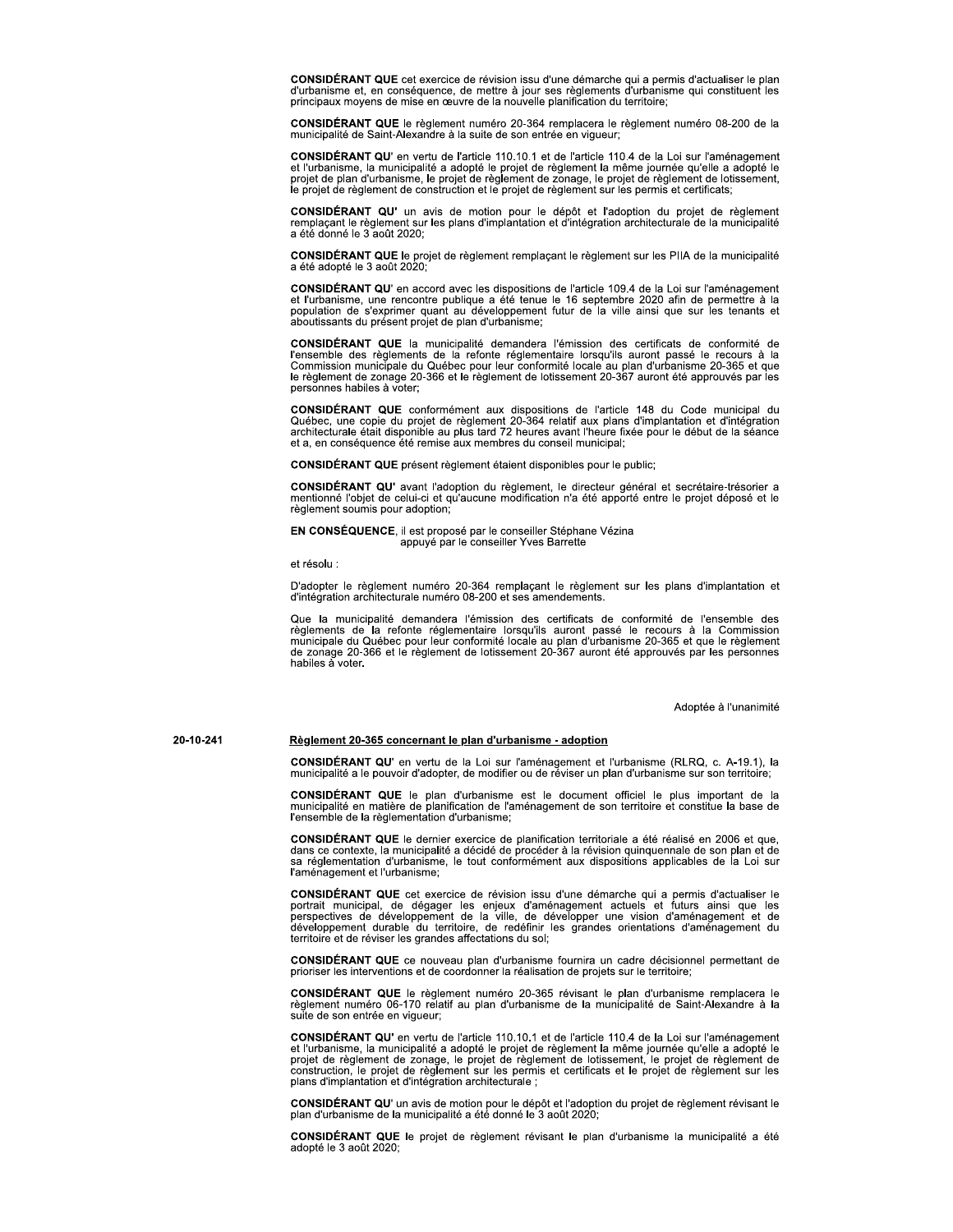**CONSIDÉRANT QUE** cet exercice de révision issu d'une démarche qui a permis d'actualiser le plan d'urbanisme et, en conséquence, de mettre à jour ses règlements d'urbanisme qui constituent les principaux moyens de mise en œuvre de la nouvelle planification du territoire;

CONSIDÉRANT QUE le règlement numéro 20-364 remplacera le règlement numéro 08-200 de la municipalité de Saint-Alexandre à la suite de son entrée en vigueur;

CONSIDÉRANT QU' en vertu de l'article 110.10.1 et de l'article 110.4 de la Loi sur l'aménagement et l'urbanisme, la municipalité a adopté le projet de règlement la même journée qu'elle a adopté le or anticipation of the plan d'urbanisme, le projet de règlement de zonage, le projet de règlement de lotissement,<br>le projet de règlement de construction et le projet de règlement sur les permis et certificats;

CONSIDÉRANT QU' un avis de motion pour le dépôt et l'adoption du projet de règlement remplaçant le règlement sur les plans d'implantation et d'intégration architecturale de la municipalité a été donné le 3 août 2020;

CONSIDÉRANT QUE le projet de règlement remplaçant le règlement sur les PIIA de la municipalité a été adopté le 3 août 2020;

**CONSIDÉRANT QU'** en accord avec les dispositions de l'article 109.4 de la Loi sur l'aménagement et l'urbanisme, une rencontre publique a été tenue le 16 septembre 2020 afin de permettre à la population de s'exprimer quant au développement futur de la ville ainsi que sur les tenants et aboutissants du présent proiet de plan d'urbanisme:

CONSIDÉRANT QUE la municipalité demandera l'émission des certificats de conformité de l'ensemble des règlements de la refonte réglementaire lorsqu'ils auront passé le recours à la Commission municipale du Québec pour leur le règlement de zonage 20-366 et le règlement de lotissement 20-367 auront été approuvés par les personnes habiles à voter;

CONSIDÉRANT QUE conformément aux dispositions de l'article 148 du Code municipal du<br>Québec, une copie du projet de règlement 20-364 relatif aux plans d'implantation et d'intégration<br>architecturale était disponible au plus et a, en conséquence été remise aux membres du conseil municipal;

CONSIDÉRANT QUE présent règlement étaient disponibles pour le public;

CONSIDÉRANT QU' avant l'adoption du règlement, le directeur général et secrétaire-trésorier a mentionné l'objet de celui-ci et qu'aucune modification n'a été apporté entre le projet déposé et le règlement soumis pour adoption;

EN CONSÉQUENCE, il est proposé par le conseiller Stéphane Vézina appuyé par le conseiller Yves Barrette

et résolu :

D'adopter le règlement numéro 20-364 remplaçant le règlement sur les plans d'implantation et d'intégration architecturale numéro 08-200 et ses amendements.

Que la municipalité demandera l'émission des certificats de conformité de l'ensemble des se la refonte réglementaire lorsqu'ils auront passé le recours à la Commission<br>municipale du Québec pour leur conformité locale au plan d'urbanisme 20-365 et que le règlement<br>de zonage 20-366 et le règlement de lotissement habiles a voter.

Adoptée à l'unanimité

20-10-241

### Règlement 20-365 concernant le plan d'urbanisme - adoption

CONSIDÉRANT QU' en vertu de la Loi sur l'aménagement et l'urbanisme (RLRQ, c. A-19.1), la municipalité a le pouvoir d'adopter, de modifier ou de réviser un plan d'urbanisme sur son territoire;

CONSIDÉRANT QUE le plan d'urbanisme est le document officiel le plus important de la municipalité en matière de planification de l'aménagement de son territoire et constitue la base de l'ensemble de la règlementation d'urbanisme;

CONSIDÉRANT QUE le dernier exercice de planification territoriale a été réalisé en 2006 et que, dans ce contexte, la municipalité a décidé de procéder à la révision quinquennale de son plan et de sa réglementation d'urbanisme, le tout conformément aux dispositions applicables de la Loi sur l'aménagement et l'urbanisme:

CONSIDÉRANT QUE cet exercice de révision issu d'une démarche qui a permis d'actualiser le portrait municipal, de dégager les enjeux d'aménagement actuels et futurs ainsi que les perspectives de développement de la ville, d développement durable du territoire, de redéfinir les grandes orientations d'aménagement du territoire et de réviser les grandes affectations du sol;

CONSIDÉRANT QUE ce nouveau plan d'urbanisme fournira un cadre décisionnel permettant de prioriser les interventions et de coordonner la réalisation de projets sur le territoire;

CONSIDÉRANT QUE le règlement numéro 20-365 révisant le plan d'urbanisme remplacera le règlement numéro 06-170 relatif au plan d'urbanisme de la municipalité de Saint-Alexandre à la suite de son entrée en viqueur;

**CONSIDÉRANT QU'** en vertu de l'article 110.10.1 et de l'article 110.4 de la Loi sur l'aménagement et l'urbanisme, la municipalité a adopté le projet de règlement la même journée qu'elle a adopté le projet de règlement de

CONSIDÉRANT QU' un avis de motion pour le dépôt et l'adoption du projet de règlement révisant le plan d'urbanisme de la municipalité a été donné le 3 août 2020;

CONSIDÉRANT QUE le projet de règlement révisant le plan d'urbanisme la municipalité a été adopté le 3 août 2020;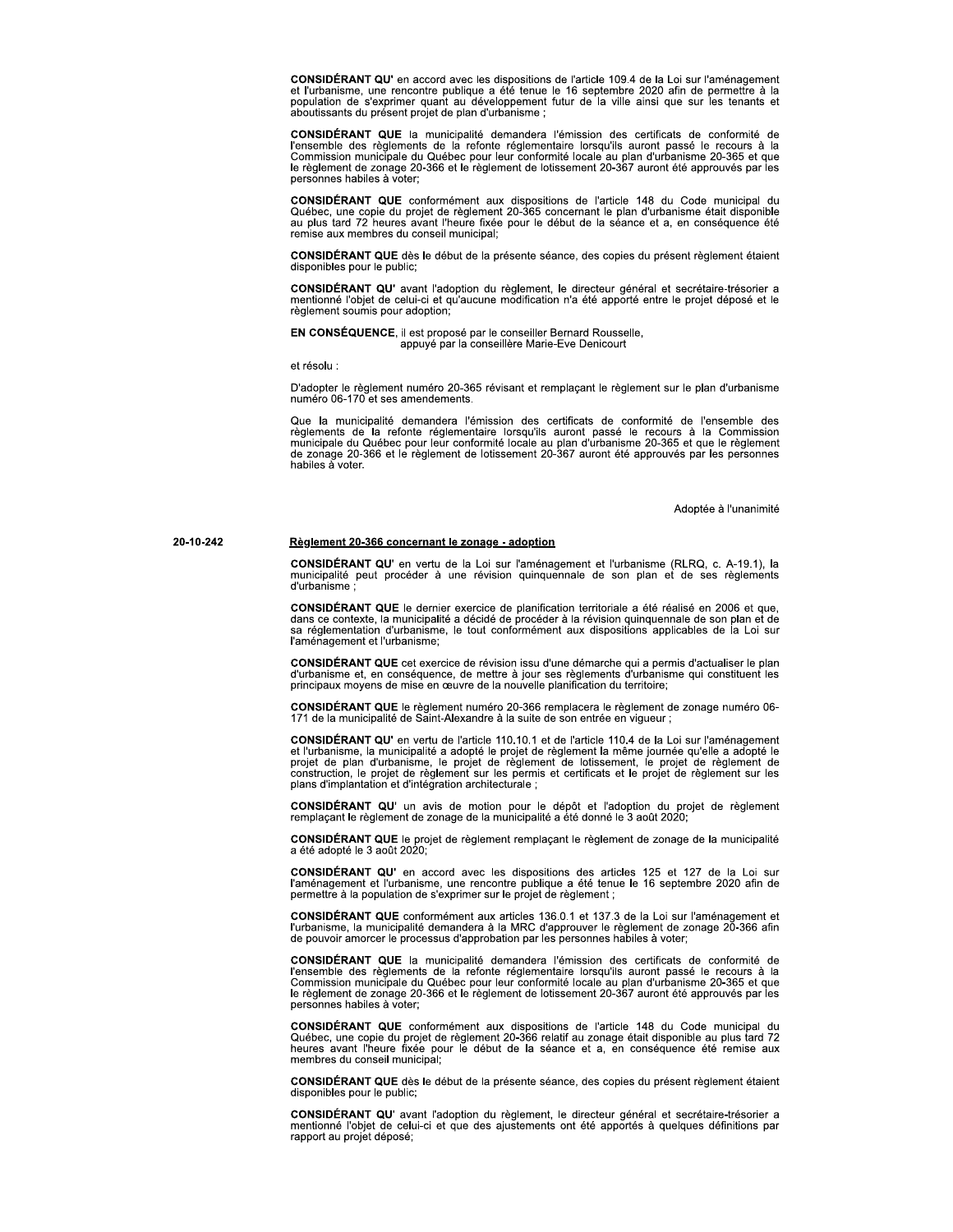CONSIDÉRANT QU' en accord avec les dispositions de l'article 109.4 de la Loi sur l'aménagement et l'urbanisme, une rencontre publique a été tenue le 16 septembre 2020 afin de permettre à la population de s'exprimer quant au développement futur de la ville ainsi que sur les tenants et aboutissants du présent projet de plan d'urbanisme ;

CONSIDÉRANT QUE la municipalité demandera l'émission des certificats de conformité de l'ensemble des règlements de la refonte réglementaire lorsqu'ils auront passé le recours à la Commission municipale du Québec pour leur le règlement de zonage 20-366 et le règlement de lotissement 20-367 auront été approuvés par les personnes habiles à voter:

CONSIDÉRANT QUE conformément aux dispositions de l'article 148 du Code municipal du<br>Québec, une copie du projet de règlement 20-365 concernant le plan d'urbanisme était disponible<br>au plus tard 72 heures avant l'heure fixée remise aux membres du conseil municipal;

CONSIDÉRANT QUE dès le début de la présente séance, des copies du présent règlement étaient disponibles pour le public;

CONSIDÉRANT QU' avant l'adoption du règlement, le directeur général et secrétaire-trésorier a mentionné l'objet de celui-ci et qu'aucune modification n'a été apporté entre le projet déposé et le règlement soumis pour adoption;

EN CONSÉQUENCE, il est proposé par le conseiller Bernard Rousselle, appuyé par la conseillère Marie-Eve Denicourt

et résolu :

D'adopter le règlement numéro 20-365 révisant et remplaçant le règlement sur le plan d'urbanisme<br>numéro 06-170 et ses amendements.

Que la municipalité demandera l'émission des certificats de conformité de l'ensemble des<br>règlements de la refonte réglementaire lorsqu'ils auront passé le recours à la Commission municipale du Québec pour leur conformité locale au plan d'urbanisme 20-365 et que le règlement de zonage 20-366 et le règlement de lotissement 20-367 auront été approuvés par les personnes habiles a voter.

Adoptée à l'unanimité

### Règlement 20-366 concernant le zonage - adoption

CONSIDÉRANT QU' en vertu de la Loi sur l'aménagement et l'urbanisme (RLRQ, c. A-19.1), la municipalité peut procéder à une révision quinquennale de son plan et de ses règlements d'urbanisme

CONSIDÉRANT QUE le dernier exercice de planification territoriale a été réalisé en 2006 et que, dans ce contexte, la municipalité a décidé de procéder à la révision quinquennale de son plan et de sa réglementation d'urbanisme, le tout conformément aux dispositions applicables de la Loi sur l'aménagement et l'urbanisme;

CONSIDÉRANT QUE cet exercice de révision issu d'une démarche qui a permis d'actualiser le plan d'urbanisme et, en conséquence, de mettre à jour ses règlements d'urbanisme qui constituent les principaux moyens de mise en œu

CONSIDÉRANT QUE le règlement numéro 20-366 remplacera le règlement de zonage numéro 06-171 de la municipalité de Saint-Alexandre à la suite de son entrée en vigueur ;

CONSIDÉRANT QU' en vertu de l'article 110.10.1 et de l'article 110.4 de la Loi sur l'aménagement CONSIDENTANT QUE et l'un de l'altres l'un de l'altres de l'altres de la Long de la Long de la Long de la Long<br>projet de plan d'urbanisme, le projet de règlement de lotissement, le projet de règlement de<br>projet de plan d'ur

CONSIDÉRANT QU' un avis de motion pour le dépôt et l'adoption du projet de règlement remplaçant le règlement de zonage de la municipalité a été donné le 3 août 2020;

CONSIDÉRANT QUE le projet de règlement remplaçant le règlement de zonage de la municipalité a été adopté le 3 août 2020,

CONSIDÉRANT QU' en accord avec les dispositions des articles 125 et 127 de la Loi sur<br>l'aménagement et l'urbanisme, une rencontre publique a été tenue le 16 septembre 2020 afin de permettre à la population de s'exprimer sur le projet de règlement ;

CONSIDÉRANT QUE conformément aux articles 136.0.1 et 137.3 de la Loi sur l'aménagement et l'urbanisme, la municipalité demandera à la MRC d'approuver le règlement de zonage 20-366 afin de pouvoir amorcer le processus d'approbation par les personnes habiles à voter;

CONSIDÉRANT QUE la municipalité demandera l'émission des certificats de conformité de l'ensemble des règlements de la refonte réglementaire lorsqu'ils auront passé le recours à la<br>Commission municipale du Québec pour leur conformité locale au plan d'urbanisme 20-365 et que le règlement de zonage 20-366 et le règlement de lotissement 20-367 auront été approuvés par les personnes habiles à voter:

CONSIDÉRANT QUE conformément aux dispositions de l'article 148 du Code municipal du<br>Québec, une copie du projet de règlement 20-366 relatif au zonage était disponible au plus tard 72<br>heures avant l'heure fixée pour le débu membres du conseil municipal:

CONSIDÉRANT QUE dès le début de la présente séance, des copies du présent règlement étaient disponibles pour le public;

CONSIDÉRANT QU' avant l'adoption du règlement, le directeur général et secrétaire-trésorier a mentionné l'objet de celui-ci et que des ajustements ont été apportés à quelques définitions par rapport au projet déposé;

20-10-242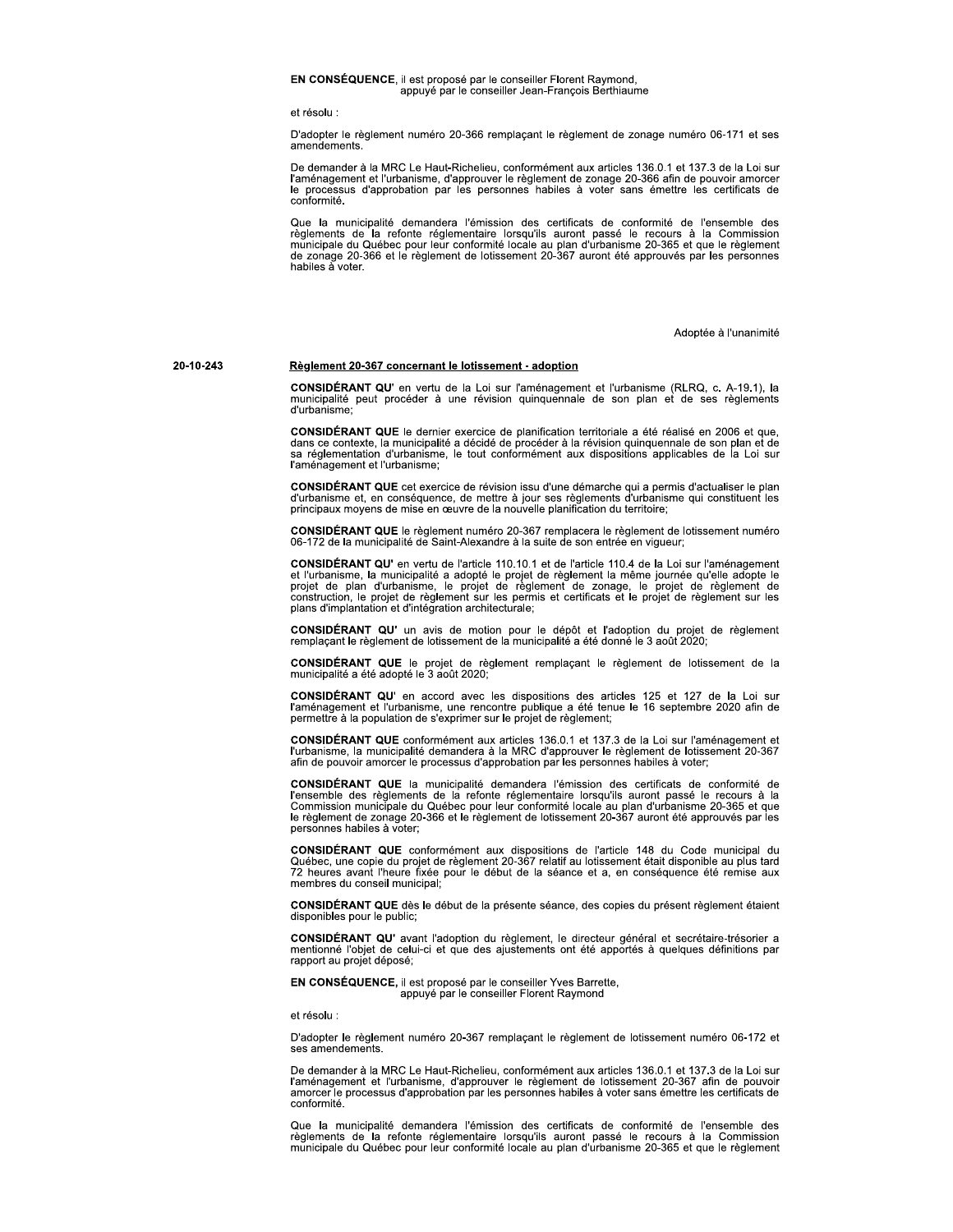### EN CONSÉQUENCE, il est proposé par le conseiller Florent Raymond, appuyé par le conseiller Jean-François Berthiaume

et résolu :

D'adopter le règlement numéro 20-366 remplaçant le règlement de zonage numéro 06-171 et ses amendements

De demander à la MRC Le Haut-Richelieu, conformément aux articles 136.0.1 et 137.3 de la Loi sur l'aménagement et l'urbanisme, d'approuver le règlement de zonage 20-366 afin de pouvoir amorcer<br>le processus d'approbation par les personnes habiles à voter sans émettre les certificats de conformité.

Que la municipalité demandera l'émission des certificats de conformité de l'ensemble des règlements de la refonte réglementaire lorsqu'ils auront passé le recours à la Commission municipale du Québec pour leur conformité locale au plan d'urbanisme 20-365 et que le règlement de zonage 20-366 et le règlement de lotissement 20-367 auront été approuvés par les personnes habiles à voter.

Adoptée à l'unanimité

20-10-243

### Règlement 20-367 concernant le lotissement - adoption

CONSIDÉRANT QU' en vertu de la Loi sur l'aménagement et l'urbanisme (RLRQ, c. A-19.1), la municipalité peut procéder à une révision quinquennale de son plan et de ses règlements d'urbanisme

CONSIDÉRANT QUE le dernier exercice de planification territoriale a été réalisé en 2006 et que, dans de contexte, la municipalité a décidé de procéder à la révision quinquennale de son plan et de<br>sa réglementation d'urbanisme, le tout conformément aux dispositions applicables de la Loi sur l'aménagement et l'urbanisme;

CONSIDÉRANT QUE cet exercice de révision issu d'une démarche qui a permis d'actualiser le plan d'urbanisme et, en conséquence, de mettre à jour ses règlements d'urbanisme qui constituent les principaux moyens de mise en œuvre de la nouvelle planification du territoire;

CONSIDÉRANT QUE le règlement numéro 20-367 remplacera le règlement de lotissement numéro 06-172 de la municipalité de Saint-Alexandre à la suite de son entrée en vigueur;

CONSIDÉRANT QU' en vertu de l'article 110.10.1 et de l'article 110.4 de la Loi sur l'aménagement<br>et l'urbanisme, la municipalité a adopté le projet de règlement la même journée qu'elle adopte le projet de plan d'urbanisme, le projet de règlement de zonage, le projet de règlement de<br>construction, le projet de règlement sur les permis et certificats et le projet de règlement sur les<br>plans d'implantation et d'intégra

CONSIDÉRANT QU' un avis de motion pour le dépôt et l'adoption du projet de règlement remplaçant le règlement de lotissement de la municipalité a été donné le 3 août 2020;

CONSIDÉRANT QUE le projet de règlement remplaçant le règlement de lotissement de la municipalité a été adopté le 3 août 2020;

CONSIDÉRANT QU' en accord avec les dispositions des articles 125 et 127 de la Loi sur l'aménagement et l'urbanisme, une rencontre publique a été tenue le 16 septembre 2020 afin de permettre à la population de s'exprimer su

CONSIDÉRANT QUE conformément aux articles 136.0.1 et 137.3 de la Loi sur l'aménagement et l'urbanisme, la municipalité demandera à la MRC d'approuver le règlement de lotissement 20-367 afin de pouvoir amorcer le processus d'approbation par les personnes habiles à voter;

CONSIDÉRANT QUE la municipalité demandera l'émission des certificats de conformité de Fensemble des réglements de la refonte réglementaire lorsqu'ils auront passé le recours à la<br>Commission municipale du Québec pour leur conformité locale au plan d'urbanisme 20-365 et que<br>le règlement de zonage 20-366 et le personnes habiles à voter:

CONSIDÉRANT QUE conformément aux dispositions de l'article 148 du Code municipal du Québec, une copie du projet de règlement 20-367 relatif au lotissement était disponible au plus tard<br>72 heures avant l'heure fixée pour le début de la séance et a, en conséquence été remise aux membres du conseil municipal.

CONSIDÉRANT QUE dès le début de la présente séance, des copies du présent règlement étaient disponibles pour le public;

CONSIDÉRANT QU' avant l'adoption du règlement, le directeur général et secrétaire-trésorier a mentionné l'objet de celui-ci et que des ajustements ont été apportés à quelques définitions par rapport au projet déposé;

EN CONSÉQUENCE, il est proposé par le conseiller Yves Barrette, appuyé par le conseiller Florent Raymond

et résolu :

D'adopter le règlement numéro 20-367 remplaçant le règlement de lotissement numéro 06-172 et ses amendements.

De demander à la MRC Le Haut-Richelieu, conformément aux articles 136.0.1 et 137.3 de la Loi sur l'aménagement et l'urbanisme, d'approuver le règlement de lotissement 20-367 afin de pouvoir amorcer le processus d'approbati conformité.

Que la municipalité demandera l'émission des certificats de conformité de l'ensemble des réglements de la refonte réglementaire lorsqu'ils auront passé le recours à la Commission<br>municipale du Québec pour leur conformité locale au plan d'urbanisme 20-365 et que le règlement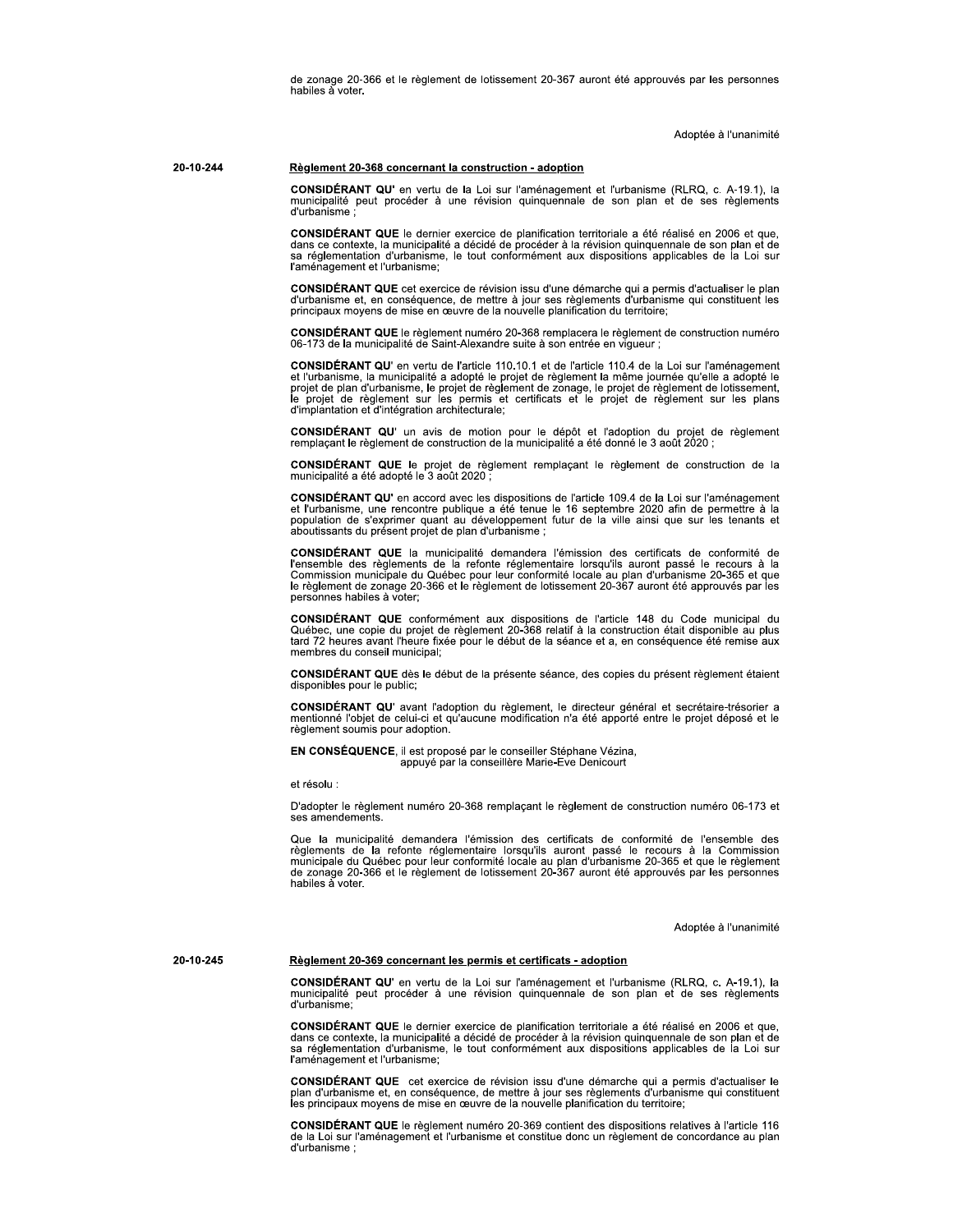de zonage 20-366 et le règlement de lotissement 20-367 auront été approuvés par les personnes habiles à voter.

Adoptée à l'unanimité

#### 20-10-244 Règlement 20-368 concernant la construction - adoption

CONSIDÉRANT QU' en vertu de la Loi sur l'aménagement et l'urbanisme (RLRQ, c. A-19.1), la municipalité peut procéder à une révision quinquennale de son plan et de ses règlements d'urbanisme

CONSIDÉRANT QUE le dernier exercice de planification territoriale a été réalisé en 2006 et que, dans ce contexte, la municipalité a décidé de procéder à la révision quinquennale de son plan et de<br>sa réglementation d'urbanisme, le tout conformément aux dispositions applicables de la Loi sur l'aménagement et l'urbanisme;

CONSIDÉRANT QUE cet exercice de révision issu d'une démarche qui a permis d'actualiser le plan d'urbanisme et, en conséquence, de mettre à jour ses règlements d'urbanisme qui constituent les principaux moyens de mise en œuvre de la nouvelle planification du territoire;

CONSIDÉRANT QUE le règlement numéro 20-368 remplacera le règlement de construction numéro 06-173 de la municipalité de Saint-Alexandre suite à son entrée en vigueur ;

CONSIDÉRANT QU' en vertu de l'article 110.10.1 et de l'article 110.4 de la Loi sur l'aménagement et l'urbanisme, la municipalité a adopté le projet de règlement la même journée qu'elle a adopté le<br>projet de plan d'urbanisme, le projet de règlement de zonage, le projet de règlement de lotissement,<br>le projet de règlemen d'implantation et d'intégration architecturale;

CONSIDÉRANT QU' un avis de motion pour le dépôt et l'adoption du projet de règlement remplaçant le règlement de construction de la municipalité a été donné le 3 août 2020 ;

**CONSIDÉRANT QUE** le projet de règlement remplaçant le règlement de construction de la municipalité a été adopté le 3 août 2020 ;

CONSIDÉRANT QU' en accord avec les dispositions de l'article 109.4 de la Loi sur l'aménagement et l'urbanisme, une rencontre publique a été tenue le 16 septembre 2020 afin de permettre à la population de s'exprimer quant au développement futur de la ville ainsi que sur les tenants et aboutissants du présent projet de plan d'urbanisme ;

CONSIDÉRANT QUE la municipalité demandera l'émission des certificats de conformité de l'ensemble des règlements de la refonte réglementaire lorsqu'ils auront passé le recours à la Commission municipale du Québec pour leur personnes habiles à voter:

**CONSIDÉRANT QUE** conformément aux dispositions de l'article 148 du Code municipal du Québec, une copie du projet de règlement 20-368 relatif à la construction était disponible au plus tard 72 heures avant l'heure fixée po membres du conseil municipal;

CONSIDÉRANT QUE dès le début de la présente séance, des copies du présent règlement étaient disponibles pour le public;

CONSIDÉRANT QU' avant l'adoption du règlement, le directeur général et secrétaire-trésorier a mentionné l'objet de celui-ci et qu'aucune modification n'a été apporté entre le projet déposé et le règlement soumis pour adoption.

EN CONSÉQUENCE, il est proposé par le conseiller Stéphane Vézina, appuyé par la conseillère Marie-Eve Denicourt

et résolu :

20-10-245

D'adopter le règlement numéro 20-368 remplaçant le règlement de construction numéro 06-173 et ses amendements.

Que la municipalité demandera l'émission des certificats de conformité de l'ensemble des Seglements de la refonte réglementaire lorsqu'ils auront passé le recours à la Commission<br>municipale du Québec pour leur conformité locale au plan d'urbanisme 20-365 et que le règlement<br>de zonage 20-366 et le règlement de habiles à voter.

Adoptée à l'unanimité

### Règlement 20-369 concernant les permis et certificats - adoption

CONSIDÉRANT QU' en vertu de la Loi sur l'aménagement et l'urbanisme (RLRQ, c. A-19.1), la municipalité peut procéder à une révision quinquennale de son plan et de ses règlements d'urbanisme:

CONSIDÉRANT QUE le dernier exercice de planification territoriale a été réalisé en 2006 et que, dans ce contexte, la municipalité a décidé de procéder à la révision quinquennale de son plan et de<br>sa réglementation d'urbanisme, le tout conformément aux dispositions applicables de la Loi sur l'aménagement et l'urbanisme;

CONSIDÉRANT QUE cet exercice de révision issu d'une démarche qui a permis d'actualiser le plan d'urbanisme et, en conséquence, de mettre à jour ses règlements d'urbanisme qui constituent<br>les principaux moyens de mise en œuvre de la nouvelle planification du territoire;

CONSIDÉRANT QUE le règlement numéro 20-369 contient des dispositions relatives à l'article 116 de la Loi sur l'aménagement et l'urbanisme et constitue donc un règlement de concordance au plan d'urbanisme: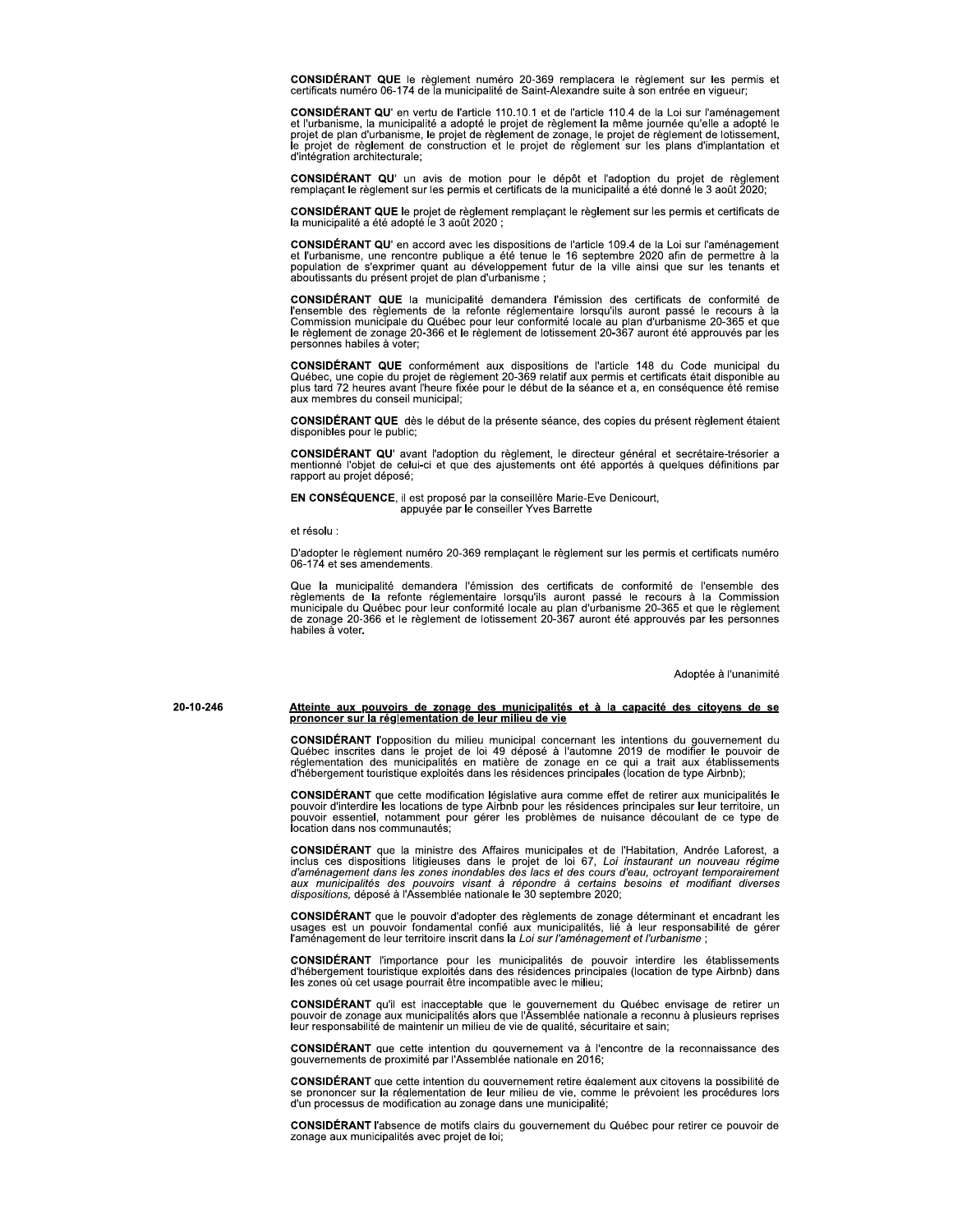CONSIDÉRANT QUE le règlement numéro 20-369 remplacera le règlement sur les permis et certificats numéro 06-174 de la municipalité de Saint-Alexandre suite à son entrée en vigueur;

CONSIDÉRANT QU' en vertu de l'article 110.10.1 et de l'article 110.4 de la Loi sur l'aménagement<br>et l'urbanisme, la municipalité a adopté le projet de règlement la même journée qu'elle a adopté le projet de plan d'urbanisme, le projet de règlement de zonage, le projet de règlement de lotissement, le projet de règlement de construction et le projet de règlement sur les plans d'implantation et d'intégration architecturale;

CONSIDÉRANT QU' un avis de motion pour le dépôt et l'adoption du projet de règlement remplaçant le règlement sur les permis et certificats de la municipalité a été donné le 3 août 2020;

CONSIDÉRANT QUE le projet de règlement remplaçant le règlement sur les permis et certificats de la municipalité a été adopté le 3 août 2020 ;

CONSIDÉRANT QU' en accord avec les dispositions de l'article 109.4 de la Loi sur l'aménagement et l'urbanisme, une rencontre publique a été tenue le 16 septembre 2020 afin de permettre à la population de s'exprimer quant a aboutissants du présent projet de plan d'urbanisme ;

CONSIDÉRANT QUE la municipalité demandera l'émission des certificats de conformité de l'ensemble des règlements de la refonte réglementaire lorsqu'ils auront passé le recours à la<br>Commission municipale du Québec pour leur conformité locale au plan d'urbanisme 20-365 et que le règlement de zonage 20-366 et le règlement de lotissement 20-367 auront été approuvés par les personnes habiles à voter;

CONSIDÉRANT QUE conformément aux dispositions de l'article 148 du Code municipal du Québec, une copie du projet de règlement 20-369 relatif aux permis et certificats était disponible au plus tard 72 heures avant l'heure fixée pour le début de la séance et a, en conséquence été remise aux membres du conseil municipal;

CONSIDÉRANT QUE dès le début de la présente séance, des copies du présent règlement étaient disponibles pour le public;

CONSIDÉRANT QU' avant l'adoption du règlement, le directeur général et secrétaire-trésorier a mentionné l'objet de celui-ci et que des ajustements ont été apportés à quelques définitions par rapport au projet déposé;

EN CONSÉQUENCE, il est proposé par la conseillère Marie-Eve Denicourt, appuyée par le conseiller Yves Barrette

et résolu :

D'adopter le règlement numéro 20-369 remplaçant le règlement sur les permis et certificats numéro 06-174 et ses amendements

Que la municipalité demandera l'émission des certificats de conformité de l'ensemble des règlements de la refonte réglementaire lorsqu'ils auront passé le recours à la Commission municipale du Québec pour leur conformité l habiles a voter

Adoptée à l'unanimité

20-10-246

# Atteinte aux pouvoirs de zonage des municipalités et à la capacité des citoyens de se<br>prononcer sur la réglementation de leur milieu de vie

**CONSIDÉRANT** l'opposition du milieu municipal concernant les intentions du gouvernement du Québec inscrites dans le projet de loi 49 déposé à l'automne 2019 de modifier le pouvoir de réglementation des municipalités en ma

CONSIDÉRANT que cette modification législative aura comme effet de retirer aux municipalités le pouvoir d'interdire les locations de type Airbnb pour les résidences principales sur leur territoire, un pouvoir essentiel, no location dans nos communautés

CONSIDÉRANT que la ministre des Affaires municipales et de l'Habitation, Andrée Laforest, a inclus ces dispositions litigieuses dans le projet de loi 67, Loi instaurant un nouveau régime<br>d'aménagement dans les zones inondables des lacs et des cours d'eau, octroyant temporairement<br>aux municipalités des pouvoirs vi dispositions, déposé à l'Assemblée nationale le 30 septembre 2020;

CONSIDÉRANT que le pouvoir d'adopter des règlements de zonage déterminant et encadrant les usages est un pouvoir fondamental confié aux municipalités, lié à leur responsabilité de gérer l'aménagement de leur territoire inscrit dans la Loi sur l'aménagement et l'urbanisme ;

CONSIDÉRANT l'importance pour les municipalités de pouvoir interdire les établissements d'hébergement touristique exploités dans des résidences principales (location de type Airbnb) dans les zones où cet usage pourrait êtr

CONSIDÉRANT qu'il est inacceptable que le gouvernement du Québec envisage de retirer un pouvoir de zonage aux municipalités alors que l'Assemblée nationale a reconnu à plusieurs reprises leur responsabilité de maintenir un milieu de vie de qualité, sécuritaire et sain;

**CONSIDÉRANT** que cette intention du gouvernement va à l'encontre de la reconnaissance des gouvernements de proximité par l'Assemblée nationale en 2016;

**CONSIDÉRANT** que cette intention du gouvernement retire également aux citovens la possibilité de se prononcer sur la réglementation de leur milieu de vie, comme le prévoient les procédures lors d'un processus de modification au zonage dans une municipalité;

**CONSIDÉRANT** l'absence de motifs clairs du gouvernement du Québec pour retirer ce pouvoir de zonage aux municipalités avec projet de loi;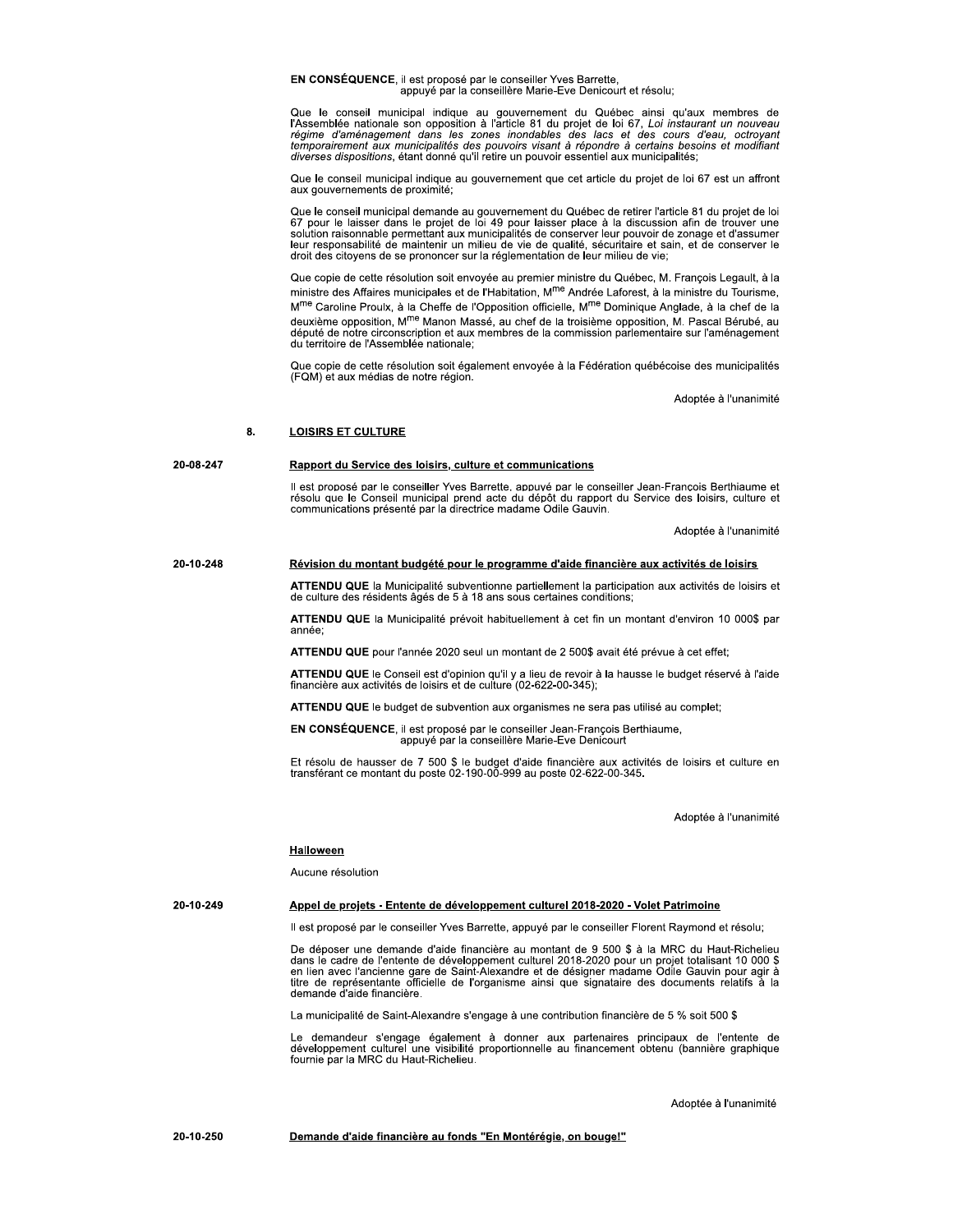EN CONSÉQUENCE, il est proposé par le conseiller Yves Barrette, appuyé par la conseillère Marie-Eve Denicourt et résolu;

Que le conseil municipal indique au gouvernement du Québec ainsi qu'aux membres de<br>l'Assemblée nationale son opposition à l'article 81 du projet de loi 67, Loi instaurant un nouveau régime d'aménagement dans les zones inondables des lacs et des cours d'eau, octroyant<br>temporairement aux municipalités des pouvoirs visant à répondre à certains besoins et modifiant<br>diverses dispositions, étant donné qu'il

Que le conseil municipal indique au gouvernement que cet article du projet de loi 67 est un affront aux gouvernements de proximité;

Que le conseil municipal demande au gouvernement du Québec de retirer l'article 81 du projet de loi<br>67 pour le laisser dans le projet de loi 49 pour laisser place à la discussion afin de trouver une<br>solution raisonnable pe leur responsabilité de maintenir un milieu de vie de qualité, sécuritaire et sain, et de conserver le<br>droit des citoyens de se prononcer sur la réglementation de leur milieu de vie;

Que copie de cette résolution soit envoyée au premier ministre du Québec, M. François Legault, à la ministre des Affaires municipales et de l'Habitation, M<sup>me</sup> Andrée Laforest, à la ministre du Tourisme, M<sup>me</sup> Caroline Proulx, à la Cheffe de l'Opposition officielle, M<sup>me</sup> Dominique Anglade, à la chef de la deuxième opposition. M<sup>me</sup> Manon Massé, au chef de la troisième opposition. M. Pascal Bérubé, au député de notre circonscription et aux membres de la commission parlementaire sur l'aménagement du territoire de l'Assemblée nationale;

Que copie de cette résolution soit également envoyée à la Fédération québécoise des municipalités (FQM) et aux médias de notre région.

Adoptée à l'unanimité

#### 8. **LOISIRS ET CULTURE**

#### 20-08-247 Rapport du Service des loisirs, culture et communications

Il est proposé par le conseiller Yves Barrette, appuvé par le conseiller Jean-Francois Berthiaume et<br>résolu que le Conseil municipal prend acte du dépôt du rapport du Service des loisirs, culture et communications présenté par la directrice madame Odile Gauvin.

Adoptée à l'unanimité

#### 20-10-248 Révision du montant budgété pour le programme d'aide financière aux activités de loisirs

ATTENDU QUE la Municipalité subventionne partiellement la participation aux activités de loisirs et de culture des résidents âgés de 5 à 18 ans sous certaines conditions;

ATTENDU QUE la Municipalité prévoit habituellement à cet fin un montant d'environ 10 000\$ par année<sup>-</sup>

ATTENDU QUE pour l'année 2020 seul un montant de 2 500\$ avait été prévue à cet effet;

ATTENDU QUE le Conseil est d'opinion qu'il y a lieu de revoir à la hausse le budget réservé à l'aide financière aux activités de loisirs et de culture (02-622-00-345);

ATTENDU QUE le budget de subvention aux organismes ne sera pas utilisé au complet;

EN CONSÉQUENCE, il est proposé par le conseiller Jean-François Berthiaume,<br>appuyé par la conseillère Marie-Eve Denicourt

Et résolu de hausser de 7 500 \$ le budget d'aide financière aux activités de loisirs et culture en transférant ce montant du poste 02-190-00-999 au poste 02-622-00-345.

Adoptée à l'unanimité

### **Halloween**

Aucune résolution

#### 20-10-249 Appel de projets - Entente de développement culturel 2018-2020 - Volet Patrimoine

Il est proposé par le conseiller Yves Barrette, appuyé par le conseiller Florent Raymond et résolu;

De déposer une demande d'aide financière au montant de 9 500 \$ à la MRC du Haut-Richelieu Bans le cadre de l'entente de développement culturel 2018-2020 pour un projet totalisant 10 000 \$<br>en lien avec l'ancienne gare de Saint-Alexandre et de désigner madame Odile Gauvin pour agir à<br>titre de représentante offici demande d'aide financière.

La municipalité de Saint-Alexandre s'engage à une contribution financière de 5 % soit 500 \$

Le demandeur s'engage également à donner aux partenaires principaux de l'entente de<br>développement culturel une visibilité proportionnelle au financement obtenu (bannière graphique fournie par la MRC du Haut-Richelieu.

Adoptée à l'unanimité

20-10-250 Demande d'aide financière au fonds "En Montérégie, on bouge!"